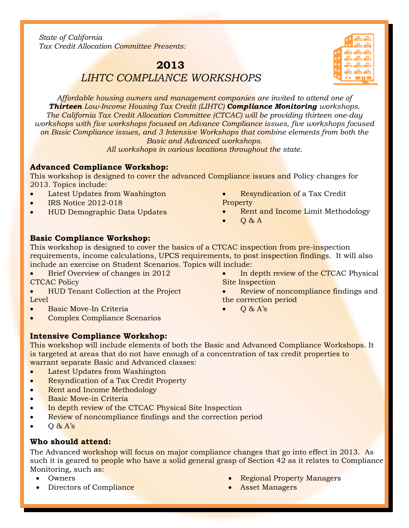*State of California Tax Credit Allocation Committee Presents:*

# **2013** *LIHTC COMPLIANCE WORKSHOPS*

*Affordable housing owners and management companies are invited to attend one of Thirteen Low-Income Housing Tax Credit (LIHTC) Compliance Monitoring workshops. The California Tax Credit Allocation Committee (CTCAC) will be providing thirteen one-day workshops with five workshops focused on Advance Compliance issues, five workshops focused on Basic Compliance issues, and 3 Intensive Workshops that combine elements from both the Basic and Advanced workshops.* 

*All workshops in various locations throughout the state.*

# **Advanced Compliance Workshop:**

This workshop is designed to cover the advanced Compliance issues and Policy changes for 2013. Topics include:

- Latest Updates from Washington
- IRS Notice 2012-018

l

- HUD Demographic Data Updates
- Resyndication of a Tax Credit Property
- **Rent and Income Limit Methodology**

In depth review of the CTCAC Physical

Review of noncompliance findings and

• Q & A

Site Inspection

the correction period • Q & A's

# **Basic Compliance Workshop:**

This workshop is designed to cover the basics of a CTCAC inspection from pre-inspection requirements, income calculations, UPCS requirements, to post inspection findings. It will also include an exercise on Student Scenarios*.* Topics will include:

- Brief Overview of changes in 2012 CTCAC Policy
- HUD Tenant Collection at the Project Level
- Basic Move-In Criteria
- Complex Compliance Scenarios

# **Intensive Compliance Workshop:**

This workshop will include elements of both the Basic and Advanced Compliance Workshops. It is targeted at areas that do not have enough of a concentration of tax credit properties to warrant separate Basic and Advanced classes:

- Latest Updates from Washington
- Resyndication of a Tax Credit Property
- Rent and Income Methodology
- Basic Move-in Criteria
- In depth review of the CTCAC Physical Site Inspection
- Review of noncompliance findings and the correction period
- $\bullet$  Q & A's

# **Who should attend:**

The Advanced workshop will focus on major compliance changes that go into effect in 2013. As such it is geared to people who have a solid general grasp of Section 42 as it relates to Compliance Monitoring, such as:

- Owners
- Directors of Compliance
- Regional Property Managers
- Asset Managers